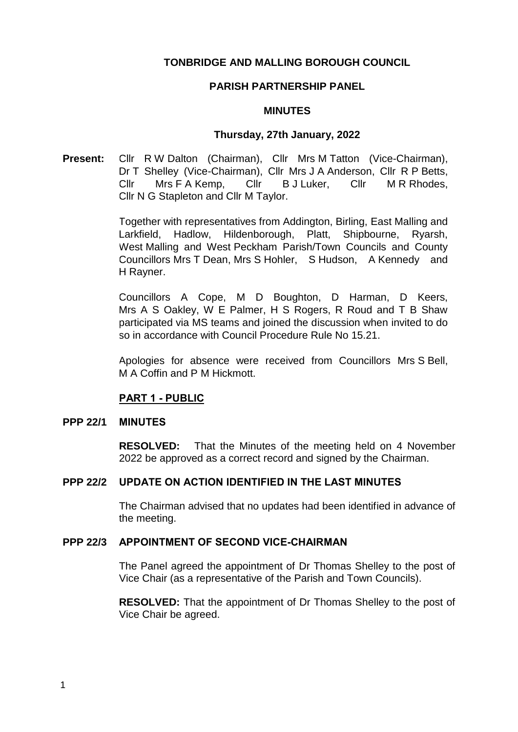# **TONBRIDGE AND MALLING BOROUGH COUNCIL**

### **PARISH PARTNERSHIP PANEL**

### **MINUTES**

### **Thursday, 27th January, 2022**

**Present:** Cllr R W Dalton (Chairman), Cllr Mrs M Tatton (Vice-Chairman), Dr T Shelley (Vice-Chairman), Cllr Mrs J A Anderson, Cllr R P Betts, Cllr Mrs F A Kemp, Cllr B J Luker, Cllr M R Rhodes, Cllr N G Stapleton and Cllr M Taylor.

> Together with representatives from Addington, Birling, East Malling and Larkfield, Hadlow, Hildenborough, Platt, Shipbourne, Ryarsh, West Malling and West Peckham Parish/Town Councils and County Councillors Mrs T Dean, Mrs S Hohler, S Hudson, A Kennedy and H Rayner.

> Councillors A Cope, M D Boughton, D Harman, D Keers, Mrs A S Oakley, W E Palmer, H S Rogers, R Roud and T B Shaw participated via MS teams and joined the discussion when invited to do so in accordance with Council Procedure Rule No 15.21.

> Apologies for absence were received from Councillors Mrs S Bell, M A Coffin and P M Hickmott.

# **PART 1 - PUBLIC**

### **PPP 22/1 MINUTES**

**RESOLVED:** That the Minutes of the meeting held on 4 November 2022 be approved as a correct record and signed by the Chairman.

# **PPP 22/2 UPDATE ON ACTION IDENTIFIED IN THE LAST MINUTES**

The Chairman advised that no updates had been identified in advance of the meeting.

### **PPP 22/3 APPOINTMENT OF SECOND VICE-CHAIRMAN**

The Panel agreed the appointment of Dr Thomas Shelley to the post of Vice Chair (as a representative of the Parish and Town Councils).

**RESOLVED:** That the appointment of Dr Thomas Shelley to the post of Vice Chair be agreed.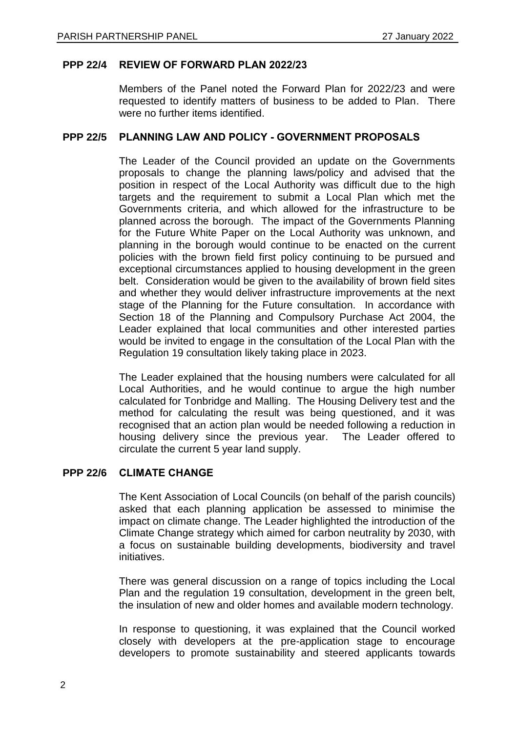# **PPP 22/4 REVIEW OF FORWARD PLAN 2022/23**

Members of the Panel noted the Forward Plan for 2022/23 and were requested to identify matters of business to be added to Plan. There were no further items identified.

### **PPP 22/5 PLANNING LAW AND POLICY - GOVERNMENT PROPOSALS**

The Leader of the Council provided an update on the Governments proposals to change the planning laws/policy and advised that the position in respect of the Local Authority was difficult due to the high targets and the requirement to submit a Local Plan which met the Governments criteria, and which allowed for the infrastructure to be planned across the borough. The impact of the Governments Planning for the Future White Paper on the Local Authority was unknown, and planning in the borough would continue to be enacted on the current policies with the brown field first policy continuing to be pursued and exceptional circumstances applied to housing development in the green belt. Consideration would be given to the availability of brown field sites and whether they would deliver infrastructure improvements at the next stage of the Planning for the Future consultation. In accordance with Section 18 of the Planning and Compulsory Purchase Act 2004, the Leader explained that local communities and other interested parties would be invited to engage in the consultation of the Local Plan with the Regulation 19 consultation likely taking place in 2023.

The Leader explained that the housing numbers were calculated for all Local Authorities, and he would continue to argue the high number calculated for Tonbridge and Malling. The Housing Delivery test and the method for calculating the result was being questioned, and it was recognised that an action plan would be needed following a reduction in housing delivery since the previous year. The Leader offered to circulate the current 5 year land supply.

# **PPP 22/6 CLIMATE CHANGE**

The Kent Association of Local Councils (on behalf of the parish councils) asked that each planning application be assessed to minimise the impact on climate change. The Leader highlighted the introduction of the Climate Change strategy which aimed for carbon neutrality by 2030, with a focus on sustainable building developments, biodiversity and travel initiatives.

There was general discussion on a range of topics including the Local Plan and the regulation 19 consultation, development in the green belt, the insulation of new and older homes and available modern technology.

In response to questioning, it was explained that the Council worked closely with developers at the pre-application stage to encourage developers to promote sustainability and steered applicants towards